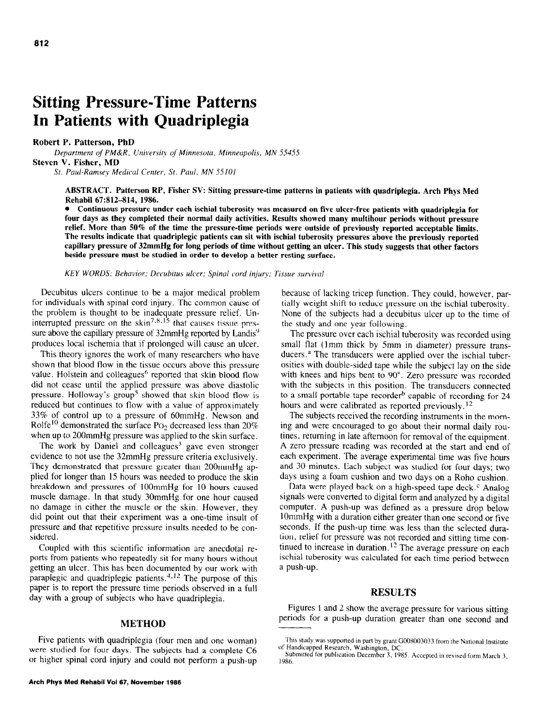# **Sitting Pressure-Time Patterns In Patients with Quadriplegia**

# **Robert P. Patterson, PbD**

Department of PM&R. University of Minnesota. Minneapolis. MN 55455 **Steven V. Fisher, MD** 

St. *Paul-Ramsey Medical Center, St. Paul. MN 55101* 

**ABSTRACT. Patterson RP, Fisher SV: Sitting pressure-time patterns in patients with quadriplegia. Arch Phys Med Rehabil 67:812-814, 1986.** 

**a Continuous pressure under each ischial tuberosity was measured on five ulcer-free patients with quadriplegia for four days as they completed their normal daily activities. Results showed many multihour periods without pressure relief. More than 50% of the time the pressure-time periods were outside of previously reported acceptable limits. The results indicate that quadriplegic patients can sit with ischial tuberosity pressures above the previously reported capillary pressure of 32mmHg for long periods of time without getting an ulcer. This study suggests that other factors beside pressure must be studied in order to develop a better resting surface.** 

*KEY WORDS: Behavior: Decuhitus ulcer; Spinal cord injury; Tissue survival* 

Decubitus ulcers continue to be a major medical problem for individuals with spinal cord injury. The common cause of the problem is thought to be inadequate pressure relief. Uninterrupted pressure on the skin<sup>7,8,15</sup> that causes tissue pressure above the capillary pressure of 32mmHg reported by Landis<sup>9</sup> produces local ischemia that if prolonged will cause an ulcer.

This theory ignores the work of many researchers who have shown that blood flow in the tissue occurs above this pressure value. Holstein and colleagues<sup>6</sup> reported that skin blood flow did not cease until the applied pressure was above diastolic pressure. Holloway's group<sup>5</sup> showed that skin blood flow is reduced but continues to flow with a value of approximately 33% of control up to a pressure of 60mmHg. Newson and Rolfe<sup>10</sup> demonstrated the surface PO<sub>2</sub> decreased less than 20% when up to 200mmHg pressure was applied to the skin surface.

The work by Daniel and colleagues<sup>3</sup> gave even stronger evidence to not use the 32mmHg pressure criteria exclusively. They demonstrated that pressure greater than 200mmHg applied for longer than 15 hours was needed to produce the skin breakdown and pressures of 1OOmmHg for 10 hours caused muscle damage. In that study 30mmHg for one hour caused no damage in either the muscle or the skin. However, they did point out that their experiment was a one-time insult of pressure and that repetitive pressure insults needed to be considered.

Coupled with this scientific information are anecdotal reports from patients who repeatedly sit for many hours without getting an ulcer. This has been documented by our work with paraplegic and quadriplegic patients. $4.12$  The purpose of this paper is to report the pressure time periods observed in a full day with a group of subjects who have quadriplegia.

# METHOD

Five patients with quadriplegia (four men and one woman) were studied for four days. The subjects had a complete C6 or higher spinal cord injury and could not perform a push-up because of lacking tricep function. They could, however. partially weight shift to reduce pressure on the ischial tuberosity. None of the subjects had a decubitus ulcer up to the time of the study and one year following.

The pressure over each ischial tuberosity was recorded using small flat (Imm thick by 5mm in diameter) pressure transducers.<sup>a</sup> The transducers were applied over the ischial tuberosities with double-sided tape while the subject lay on the side with knees and hips bent to 90°. Zero pressure was recorded with the subjects in this position. The transducers connected to a small portable tape recorder<sup>b</sup> capable of recording for 24 hours and were calibrated as reported previously.<sup>12</sup>

The subjects received the recording instruments in the morning and were encouraged to go about their normal daily routines, returning in late afternoon for removal of the equipment. A zero pressure reading was recorded at the start and end of each experiment. The average experimental time was five hours and 30 minutes. Each subject was studied for four days; two days using a foam cushion and two days on a Roho cushion.

Data were played back on a high-speed tape deck.' Analog signals were converted to digital form and analyzed by a digital computer. A push-up was defined as a pressure drop below 1OmmHg with a duration either greater than one second or five seconds. If the push-up time was less than the selected duration, relief for pressure was not recorded and sitting time continued to increase in duration.<sup>12</sup> The average pressure on each ischial tuberosity was calculated for each time period between a push-up.

# RESULTS

Figures 1 and 2 show the average pressure for various sitting periods for a push-up duration greater than one second and

This study was supported in part by grant GO08003033 from the Nattonal lnstitute of Handicapped Research. Washington. DC.

Submitted for publication December 3. 1985. Accepted in revised form March 3. 1986.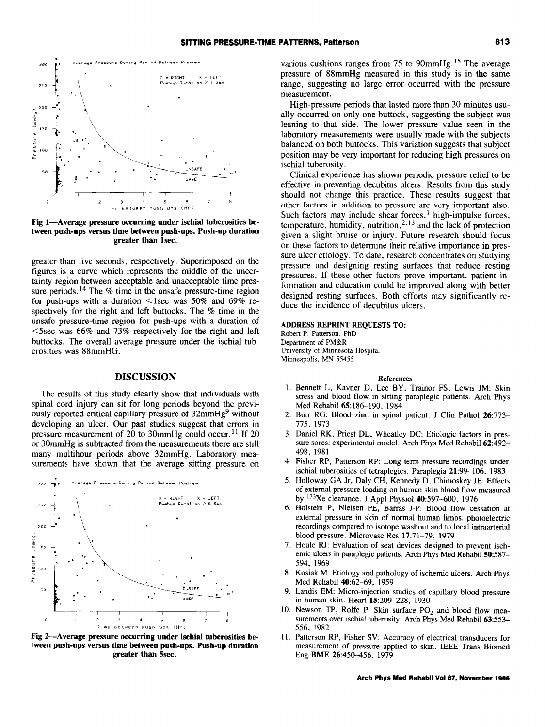

**Fig l-Average pressure occurring under ischial tuherosities between push-ups versus time between push-ups. Push-up duration greater than lsec.** 

greater than five seconds, respectively. Superimposed on the figures is a curve which represents the middle of the uncertainty region between acceptable and unacceptable time pressure periods.<sup>14</sup> The % time in the unsafe pressure-time region for push-ups with a duration  $\leq$ 1sec was 50% and 69% respectively for the right and left buttocks. The % time in the unsafe pressure-time region for push-ups with a duration of <5sec was 66% and 73% respectively for the right and left buttocks. The overall average pressure under the ischial tuberosities was 88mmHG.

# **DISCUSSION References**

The results of this study clearly show that individuals with spinal cord injury can sit for long periods beyond the previously reported critical capillary pressure of  $32$ mmHg<sup>9</sup> without developing an ulcer. Our past studies suggest that errors in pressure measurement of 20 to 30mmHg could occur.<sup>11</sup> If 20 or 30mmHg is subtracted from the measurements there are still many multihour periods above 32mmHg. Laboratory measurements have shown that the average sitting pressure on



**Fig 2-Average pressure occurring under ischial tuberosities between push-ups versus time between push-ups. Push-up duration greater than Ssec.** 

various cushions ranges from 75 to 90mmHg.<sup>15</sup> The average pressure of 88mmHg measured in this study is in the same range, suggesting no large error occurred with the pressure measurement.

High-pressure periods that lasted more than 30 minutes usually occurred on only one buttock, suggesting the subject was leaning to that side. The lower pressure value seen in the laboratory measurements were usually made with the subjects balanced on both buttocks. This variation suggests that subject position may be very important for reducing high pressures on ischial tuberosity.

Clinical experience has shown periodic pressure relief to be effective in preventing decubitus ulcers. Results from this study should not change this practice. These results suggest that other factors in addition to pressure are very important also. Such factors may include shear forces, $<sup>1</sup>$  high-impulse forces,</sup> temperature, humidity, nutrition,  $2.13$  and the lack of protection given a slight bruise or injury. Future research should focus on these factors to determine their relative importance in pressure ulcer etiology. To date, research concentrates on studying pressure and designing resting surfaces that reduce resting pressures. If these other factors prove important, patient information and education could be improved along with better designed resting surfaces. Both efforts may significantly reduce the incidence of decubitus ulcers.

## **ADDRESS REPRINT REQUESTS TO:**

Robert P. Patterson, PhD Department of PM&R University of Minnesota Hospital Minneapolis. MN 55455

- I. Bennett L, Kavner D, Lee BY. Trainor FS, Lewis JM: Skin stress and blood flow in sitting paraplegic patients. Arch Phys Med Rehabil 65:186-190, 1984
- 2. Burr RG: Blood zinc in spinal patient. J Clin Pathol 26:773-775, 1973
- **3.**  Daniel RK, Priest DL, Wheatley DC: Etiologic factors in pressure sores: experimental model. Arch Phys Med Rehabil 62:492-498, 1981
- **4.**  Fisher RP, Patterson RP: Long term pressure recordings under ischial tuberosities of tetraplegics. Paraplegia 21:99-106, 1983
- **5.**  Holloway GA Jr, Daly CH, Kennedy D, Chimoskey JE: Effects of external pressure loading on human skin blood flow measured by  $^{133}$ Xe clearance. J Appl Physiol 40:597-600, 1976
- **6.**  Holstein P. Nielsen PE, Barras J-P: Blood flow cessation at external pressure in skin of normal human limbs: photoelectric recordings compared to isotope washout and to local intraarterial blood pressure. Microvasc Res 17:71-79, 1979
- 7. Houle RJ: Evaluation of seat devices designed to prevent ischemic ulcers in paraplegic patients. Arch Phys Med Rehabil 50:587-594, 1969
- **8.**  Kosiak M: EtioIogy and pathology of ischemic ulcers. Arch Phys Med Rehabil 40:62-69, 1959
- **9.**  Landis EM: Micro-injection studies of capillary blood pressure in human skin. Heart 15:209-228, 1930
- 10. Newson TP, Rolfe P: Skin surface  $PO_2$  and blood flow measurements over ischial tuberosity. Arch Phys Med Rehabil 63:553-556, 1982
- II. Patterson RP, Fisher SV: Accuracy of electrical transducers for measurement of pressure applied to skin. IEEE Trans Biomed Eng **BME 26:450-456. 1979**